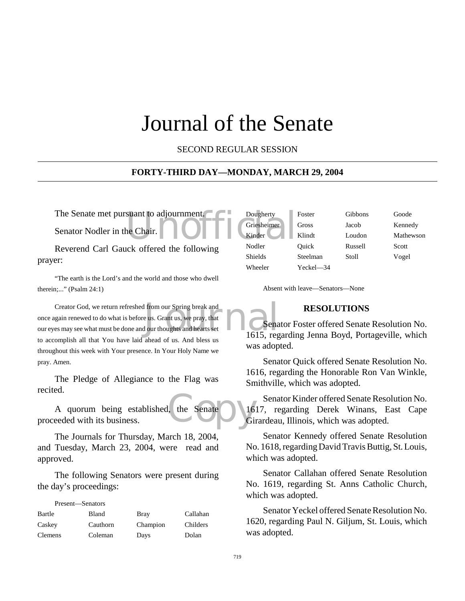## Journal of the Senate

SECOND REGULAR SESSION

#### **FORTY-THIRD DAY—MONDAY, MARCH 29, 2004**

Reverend Carl Gauck offered the following prayer:

"The earth is the Lord's and the world and those who dwell therein;..." (Psalm 24:1)

Creator God, we return refreshed from our Spring break and<br>
once again renewed to do what is before us. Grant us, we pray, that<br>
our eyes may see what must be done and our thoughts and hearts set<br>
1615, reg Creator God, we return refreshed from our Spring break and once again renewed to do what is before us. Grant us, we pray, that to accomplish all that You have laid ahead of us. And bless us throughout this week with Your presence. In Your Holy Name we pray. Amen.

The Pledge of Allegiance to the Flag was recited.

the Senate du 16 A quorum being established, the Senate proceeded with its business.

The Journals for Thursday, March 18, 2004, and Tuesday, March 23, 2004, were read and approved.

The following Senators were present during the day's proceedings:

| Present—Senators |          |          |          |
|------------------|----------|----------|----------|
| Bartle           | Bland    | Bray     | Callahan |
| Caskey           | Cauthorn | Champion | Childers |
| <b>Clemens</b>   | Coleman  | Days     | Dolan    |

| The Senate met pursuant to adjournment                | Dougherty      | Foster    | <b>Gibbons</b> | Goode     |
|-------------------------------------------------------|----------------|-----------|----------------|-----------|
| Senator Nodler in the Chair. <b>OFFIC</b> Griesheimer |                | Gross     | Jacob          | Kennedy   |
|                                                       |                | Klindt    | Loudon         | Mathewson |
| Reverend Carl Gauck offered the following             | Nodler         | Ouick     | Russell        | Scott     |
| er:                                                   | <b>Shields</b> | Steelman  | Stoll          | Vogel     |
|                                                       | Wheeler        | Yeckel—34 |                |           |

Absent with leave—Senators—None

#### **RESOLUTIONS**

Senator Foster offered Senate Resolution No. 1615, regarding Jenna Boyd, Portageville, which was adopted.

Senator Quick offered Senate Resolution No. 1616, regarding the Honorable Ron Van Winkle, Smithville, which was adopted.

Senator Kinder offered Senate Resolution No. 1617, regarding Derek Winans, East Cape Girardeau, Illinois, which was adopted.

Senator Kennedy offered Senate Resolution No. 1618, regarding David Travis Buttig, St. Louis, which was adopted.

Senator Callahan offered Senate Resolution No. 1619, regarding St. Anns Catholic Church, which was adopted.

Senator Yeckel offered Senate Resolution No. 1620, regarding Paul N. Giljum, St. Louis, which was adopted.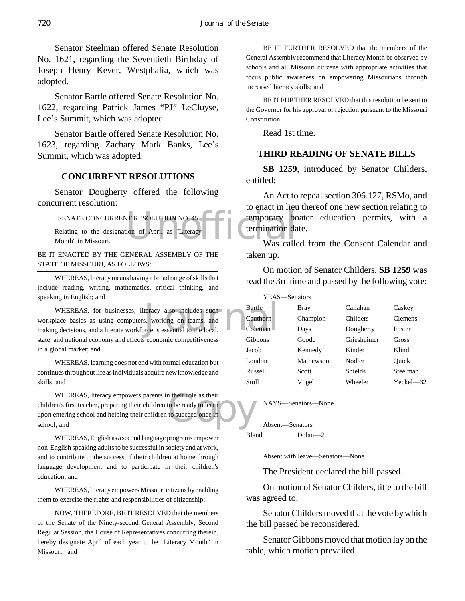Senator Steelman offered Senate Resolution No. 1621, regarding the Seventieth Birthday of Joseph Henry Kever, Westphalia, which was adopted.

Senator Bartle offered Senate Resolution No. 1622, regarding Patrick James "PJ" LeCluyse, Lee's Summit, which was adopted.

Senator Bartle offered Senate Resolution No. 1623, regarding Zachary Mark Banks, Lee's Summit, which was adopted.

#### **CONCURRENT RESOLUTIONS**

Senator Dougherty offered the following concurrent resolution:

FRESOLUTION NO. 45<br>
temporary bottom of April as "Literacy Leonary Department of April as "Literacy" SENATE CONCURRENT RESOLUTION NO. 45 Relating to the designation of April as "Literacy Month" in Missouri.

BE IT ENACTED BY THE GENERAL ASSEMBLY OF THE STATE OF MISSOURI, AS FOLLOWS:

WHEREAS, literacy means having a broad range of skills that include reading, writing, mathematics, critical thinking, and speaking in English; and

teracy also includes such<br>s, working on teams, and<br>orce is essential to the local, WHEREAS, for businesses, literacy also includes such workplace basics as using computers, working on teams, and making decisions, and a literate workforce is essential to the local, state, and national economy and effects economic competitiveness in a global market; and

WHEREAS, learning does not end with formal education but continues throughout life as individuals acquire new knowledge and skills; and

n their role as their<br>to be ready to learn<br>to succeed once in WHEREAS, literacy empowers parents in their role as their children's first teacher, preparing their children to be ready to learn upon entering school and helping their children to succeed once in school; and

WHEREAS, English as a second language programs empower non-English speaking adults to be successful in society and at work, and to contribute to the success of their children at home through language development and to participate in their children's education; and

WHEREAS, literacy empowers Missouri citizens by enabling them to exercise the rights and responsibilities of citizenship:

NOW, THEREFORE, BE IT RESOLVED that the members of the Senate of the Ninety-second General Assembly, Second Regular Session, the House of Representatives concurring therein, hereby designate April of each year to be "Literacy Month" in Missouri; and

BE IT FURTHER RESOLVED that the members of the General Assembly recommend that Literacy Month be observed by schools and all Missouri citizens with appropriate activities that focus public awareness on empowering Missourians through increased literacy skills; and

BE IT FURTHER RESOLVED that this resolution be sent to the Governor for his approval or rejection pursuant to the Missouri Constitution.

Read 1st time.

#### **THIRD READING OF SENATE BILLS**

**SB 1259**, introduced by Senator Childers, entitled:

An Act to repeal section 306.127, RSMo, and to enact in lieu thereof one new section relating to temporary boater education permits, with a termination date.

Was called from the Consent Calendar and taken up.

On motion of Senator Childers, **SB 1259** was read the 3rd time and passed by the following vote:

| YEAS—Senators |           |                |                |
|---------------|-----------|----------------|----------------|
| Bartle        | Bray      | Callahan       | Caskey         |
| Cauthorn      | Champion  | Childers       | <b>Clemens</b> |
| Coleman       | Days      | Dougherty      | Foster         |
| Gibbons       | Goode     | Griesheimer    | Gross          |
| Jacob         | Kennedy   | Kinder         | Klindt         |
| Loudon        | Mathewson | Nodler         | Ouick          |
| Russell       | Scott     | <b>Shields</b> | Steelman       |
| Stoll         | Vogel     | Wheeler        | $Yechel$ $-32$ |
|               |           |                |                |

NAYS—Senators—None

Absent—Senators Bland Dolan—2

Absent with leave—Senators—None

The President declared the bill passed.

On motion of Senator Childers, title to the bill was agreed to.

Senator Childers moved that the vote by which the bill passed be reconsidered.

Senator Gibbons moved that motion lay on the table, which motion prevailed.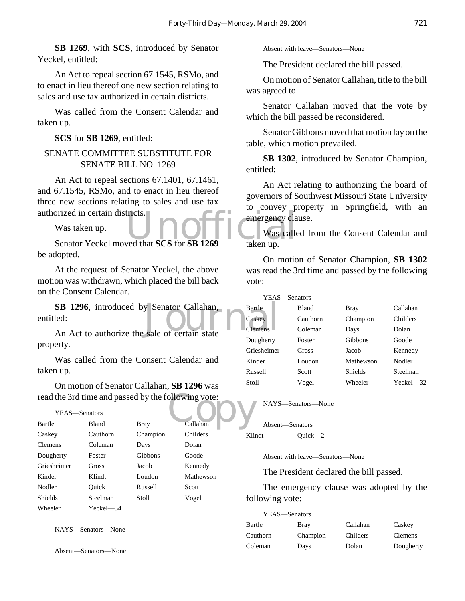**SB 1269**, with **SCS**, introduced by Senator Yeckel, entitled:

An Act to repeal section 67.1545, RSMo, and to enact in lieu thereof one new section relating to sales and use tax authorized in certain districts.

Was called from the Consent Calendar and taken up.

**SCS** for **SB 1269**, entitled:

#### SENATE COMMITTEE SUBSTITUTE FOR SENATE BILL NO. 1269

An Act to repeal sections 67.1401, 67.1461, and 67.1545, RSMo, and to enact in lieu thereof three new sections relating to sales and use tax authorized in certain districts.

Was taken up.

Senator Yeckel moved that **SCS** for **SB 1269** taken up. be adopted.

At the request of Senator Yeckel, the above motion was withdrawn, which placed the bill back on the Consent Calendar.

SB 1296, introduced by Senator Callahan,<br>
led:<br>
An Act to authorize the sale of certain state entitled:

An Act to authorize the sale of certain state property.

Was called from the Consent Calendar and taken up.

On motion of Senator Callahan, **SB 1296** was

#### YEAS—Senators

| read the 3rd time and passed by the following vote: |              |             |           |      |
|-----------------------------------------------------|--------------|-------------|-----------|------|
| YEAS—Senators                                       |              |             |           |      |
| Bartle                                              | <b>Bland</b> | <b>Bray</b> | Callahan  |      |
| Caskey                                              | Cauthorn     | Champion    | Childers  | Klii |
| <b>Clemens</b>                                      | Coleman      | Days        | Dolan     |      |
| Dougherty                                           | Foster       | Gibbons     | Goode     |      |
| Griesheimer                                         | Gross        | Jacob       | Kennedy   |      |
| Kinder                                              | Klindt       | Loudon      | Mathewson |      |
| Nodler                                              | Ouick        | Russell     | Scott     |      |
| <b>Shields</b>                                      | Steelman     | Stoll       | Vogel     | fol  |
| Wheeler                                             | Yeckel—34    |             |           |      |

NAYS—Senators—None

Absent—Senators—None

Absent with leave—Senators—None

The President declared the bill passed.

On motion of Senator Callahan, title to the bill was agreed to.

Senator Callahan moved that the vote by which the bill passed be reconsidered.

Senator Gibbons moved that motion lay on the table, which motion prevailed.

**SB 1302**, introduced by Senator Champion, entitled:

An Act relating to authorizing the board of governors of Southwest Missouri State University to convey property in Springfield, with an emergency clause.

Was called from the Consent Calendar and taken up.

On motion of Senator Champion, **SB 1302** was read the 3rd time and passed by the following vote:

| YEAS-Senators |          |                |                |
|---------------|----------|----------------|----------------|
| Bartle        | Bland    | Bray           | Callahan       |
| Caskey        | Cauthorn | Champion       | Childers       |
| Clemens       | Coleman  | Days           | Dolan          |
| Dougherty     | Foster   | <b>Gibbons</b> | Goode          |
| Griesheimer   | Gross    | Jacob          | Kennedy        |
| Kinder        | Loudon   | Mathewson      | Nodler         |
| Russell       | Scott    | Shields        | Steelman       |
| Stoll         | Vogel    | Wheeler        | $Yechel$ $-32$ |
|               |          |                |                |

NAYS—Senators—None

Absent—Senators Klindt Quick—2

Absent with leave—Senators—None

The President declared the bill passed.

The emergency clause was adopted by the following vote:

| YEAS—Senators |          |          |                |
|---------------|----------|----------|----------------|
| Bartle        | Bray     | Callahan | Caskey         |
| Cauthorn      | Champion | Childers | <b>Clemens</b> |
| Coleman       | Days     | Dolan    | Dougherty      |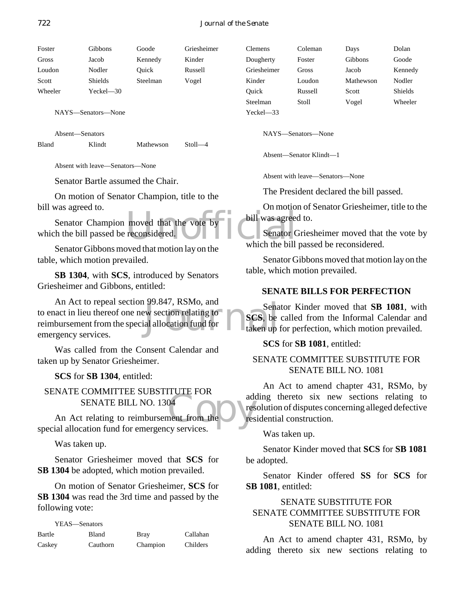Foster Gibbons Goode Griesheimer Gross Jacob Kennedy Kinder Loudon Nodler Quick Russell Scott Shields Steelman Vogel Wheeler Yeckel—30

NAYS—Senators—None

Absent—Senators

Bland Klindt Mathewson Stoll—4

Absent with leave—Senators—None

Senator Bartle assumed the Chair.

On motion of Senator Champion, title to the bill was agreed to.

moved that the vote by bill was agreed<br>reconsidered. Senator Champion moved that the vote by which the bill passed be reconsidered.

Senator Gibbons moved that motion lay on the table, which motion prevailed.

**SB 1304**, with **SCS**, introduced by Senators Griesheimer and Gibbons, entitled:

 $\begin{array}{c} \text{Sena} \\ \text{Sena} \\ \text{in addition} \\ \text{in addition} \\ \text{in addition} \\ \text{in addition} \\ \text{in addition} \\ \text{in equation} \\ \text{in equation} \\ \text{in equation} \\ \text{in equation} \\ \text{in equation} \\ \text{in equation} \\ \text{in equation} \\ \text{in equation} \\ \text{in equation} \\ \text{in equation} \\ \text{in equation} \\ \text{in equation} \\ \text{in equation} \\ \text{in equation} \\ \text{in equation} \\ \text{in equation} \\ \text{in equation} \\ \text{in equation} \\ \text{in equation} \\ \text{in equation} \\ \text{in equation} \\ \text{in equation} \\ \text{in equation} \\ \text{$ An Act to repeal section 99.847, RSMo, and to enact in lieu thereof one new section relating to reimbursement from the special allocation fund for emergency services.

Was called from the Consent Calendar and taken up by Senator Griesheimer.

**SCS** for **SB 1304**, entitled:

SENATE COMMITTEE SUBSTITUTE FOR SENATE BILL NO. 1304

add<br>
04<br>
ment from the<br>
EV services An Act relating to reimbursement from the special allocation fund for emergency services.

Was taken up.

Senator Griesheimer moved that **SCS** for **SB 1304** be adopted, which motion prevailed.

On motion of Senator Griesheimer, **SCS** for **SB 1304** was read the 3rd time and passed by the following vote:

YEAS—Senators

| Bartle | Bland    | <b>Bray</b> | Callahan |
|--------|----------|-------------|----------|
| Caskey | Cauthorn | Champion    | Childers |

| Clemens     | Coleman | Days      | Dolan   |
|-------------|---------|-----------|---------|
| Dougherty   | Foster  | Gibbons   | Goode   |
| Griesheimer | Gross   | Jacob     | Kennedy |
| Kinder      | Loudon  | Mathewson | Nodler  |
| Ouick       | Russell | Scott     | Shields |
| Steelman    | Stoll   | Vogel     | Wheeler |
| Yeckel—33   |         |           |         |

NAYS—Senators—None

Absent—Senator Klindt—1

Absent with leave—Senators—None

The President declared the bill passed.

On motion of Senator Griesheimer, title to the bill was agreed to.

Senator Griesheimer moved that the vote by which the bill passed be reconsidered.

Senator Gibbons moved that motion lay on the table, which motion prevailed.

#### **SENATE BILLS FOR PERFECTION**

Senator Kinder moved that **SB 1081**, with **SCS**, be called from the Informal Calendar and taken up for perfection, which motion prevailed.

**SCS** for **SB 1081**, entitled:

#### SENATE COMMITTEE SUBSTITUTE FOR SENATE BILL NO. 1081

An Act to amend chapter 431, RSMo, by adding thereto six new sections relating to resolution of disputes concerning alleged defective residential construction.

Was taken up.

Senator Kinder moved that **SCS** for **SB 1081** be adopted.

Senator Kinder offered **SS** for **SCS** for **SB 1081**, entitled:

#### SENATE SUBSTITUTE FOR SENATE COMMITTEE SUBSTITUTE FOR SENATE BILL NO. 1081

An Act to amend chapter 431, RSMo, by adding thereto six new sections relating to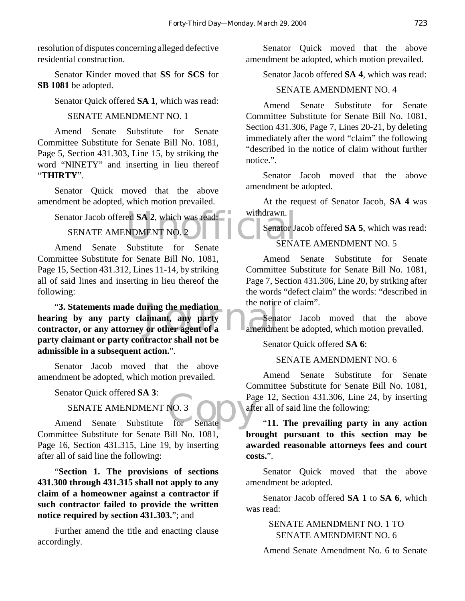resolution of disputes concerning alleged defective residential construction.

Senator Kinder moved that **SS** for **SCS** for **SB 1081** be adopted.

Senator Quick offered **SA 1**, which was read:

#### SENATE AMENDMENT NO. 1

Amend Senate Substitute for Senate Committee Substitute for Senate Bill No. 1081, Page 5, Section 431.303, Line 15, by striking the word "NINETY" and inserting in lieu thereof "**THIRTY**".

Senator Quick moved that the above amendment be adopted, which motion prevailed.

## Senator Jacob offered **SA 2**, which was read:<br>
SENATE AMENDMENT NO. 2<br>
Amond Senato Substitute for Senato SENATE AMENDMENT NO. 2

Amend Senate Substitute for Senate Committee Substitute for Senate Bill No. 1081, Page 15, Section 431.312, Lines 11-14, by striking all of said lines and inserting in lieu thereof the following:

"3. Statements made during the mediation<br>hearing by any party claimant, any party<br>contractor, or any attorney or other agent of a<br>amendme "**3. Statements made during the mediation hearing by any party claimant, any party party claimant or party contractor shall not be admissible in a subsequent action.**".

Senator Jacob moved that the above amendment be adopted, which motion prevailed.

Senator Quick offered **SA 3**:

#### SENATE AMENDMENT NO. 3

NO. 3<br>for Senate aft Amend Senate Substitute for Senate Committee Substitute for Senate Bill No. 1081, Page 16, Section 431.315, Line 19, by inserting after all of said line the following:

"**Section 1. The provisions of sections 431.300 through 431.315 shall not apply to any claim of a homeowner against a contractor if such contractor failed to provide the written notice required by section 431.303.**"; and

Further amend the title and enacting clause accordingly.

Senator Quick moved that the above amendment be adopted, which motion prevailed.

Senator Jacob offered **SA 4**, which was read:

#### SENATE AMENDMENT NO. 4

Amend Senate Substitute for Senate Committee Substitute for Senate Bill No. 1081, Section 431.306, Page 7, Lines 20-21, by deleting immediately after the word "claim" the following "described in the notice of claim without further notice.".

Senator Jacob moved that the above amendment be adopted.

At the request of Senator Jacob, **SA 4** was withdrawn.

Senator Jacob offered **SA 5**, which was read:

#### SENATE AMENDMENT NO. 5

Amend Senate Substitute for Senate Committee Substitute for Senate Bill No. 1081, Page 7, Section 431.306, Line 20, by striking after the words "defect claim" the words: "described in the notice of claim".

Senator Jacob moved that the above amendment be adopted, which motion prevailed.

Senator Quick offered **SA 6**:

#### SENATE AMENDMENT NO. 6

Amend Senate Substitute for Senate Committee Substitute for Senate Bill No. 1081, Page 12, Section 431.306, Line 24, by inserting after all of said line the following:

"**11. The prevailing party in any action brought pursuant to this section may be awarded reasonable attorneys fees and court costs.**".

Senator Quick moved that the above amendment be adopted.

Senator Jacob offered **SA 1** to **SA 6**, which was read:

> SENATE AMENDMENT NO. 1 TO SENATE AMENDMENT NO. 6

Amend Senate Amendment No. 6 to Senate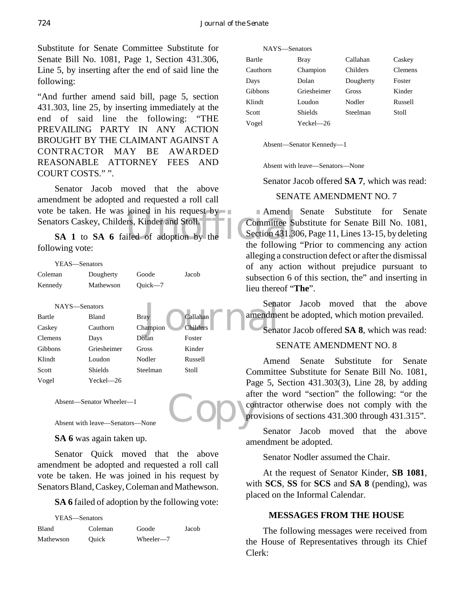Substitute for Senate Committee Substitute for Senate Bill No. 1081, Page 1, Section 431.306, Line 5, by inserting after the end of said line the following:

"And further amend said bill, page 5, section 431.303, line 25, by inserting immediately at the end of said line the following: "THE PREVAILING PARTY IN ANY ACTION BROUGHT BY THE CLAIMANT AGAINST A CONTRACTOR MAY BE AWARDED REASONABLE ATTORNEY FEES AND COURT COSTS." ".

be taken. He was joined in his request by<br>
tors Caskey, Childers, Kinder and Stoll. - - - - Committee Supplements<br>
SA 1 to **SA 6** failed of adoption by the the following Senator Jacob moved that the above amendment be adopted and requested a roll call vote be taken. He was joined in his request by Senators Caskey, Childers, Kinder and Stoll.

following vote:

|                | YEAS-Senators  |              |                 | οf<br>any a                |
|----------------|----------------|--------------|-----------------|----------------------------|
| Coleman        | Dougherty      | Goode        | Jacob           | subsectio                  |
| Kennedy        | Mathewson      | Ouick $-7$   |                 | lieu there                 |
|                | NAYS-Senators  |              |                 | Sena                       |
| Bartle         | Bland          | <b>Bray</b>  | Callahan        | amendme                    |
| Caskey         | Cauthorn       | Champion     | <b>Childers</b> | Sena                       |
| <b>Clemens</b> | Days           | Dolan        | Foster          |                            |
| Gibbons        | Griesheimer    | <b>Gross</b> | Kinder          | S                          |
| Klindt         | Loudon         | Nodler       | Russell         | Ame                        |
| Scott          | <b>Shields</b> | Steelman     | Stoll           | Committe                   |
| Vogel          | Yeckel-26      |              |                 | Page 5, S                  |
|                |                |              |                 | $\Delta$ <b>f</b> tan that |

Absent—Senator Wheeler—1

```
Absent with leave—Senators—None
```
**SA 6** was again taken up.

Senator Quick moved that the above amendment be adopted and requested a roll call vote be taken. He was joined in his request by Senators Bland, Caskey, Coleman and Mathewson.

**SA 6** failed of adoption by the following vote:

| YEAS—Senators |         |           |       |
|---------------|---------|-----------|-------|
| <b>Bland</b>  | Coleman | Goode     | Jacob |
| Mathewson     | Ouick   | Wheeler-7 |       |

| NAYS-Senators |                |           |                |
|---------------|----------------|-----------|----------------|
| Bartle        | Bray           | Callahan  | Caskey         |
| Cauthorn      | Champion       | Childers  | <b>Clemens</b> |
| Days          | Dolan          | Dougherty | Foster         |
| Gibbons       | Griesheimer    | Gross     | Kinder         |
| Klindt        | Loudon         | Nodler    | Russell        |
| Scott         | <b>Shields</b> | Steelman  | Stoll          |
| Vogel         | Yeckel-26      |           |                |
|               |                |           |                |

Absent—Senator Kennedy—1

Absent with leave—Senators—None

Senator Jacob offered **SA 7**, which was read:

#### SENATE AMENDMENT NO. 7

Amend Senate Substitute for Senate Committee Substitute for Senate Bill No. 1081, Section 431.306, Page 11, Lines 13-15, by deleting the following "Prior to commencing any action alleging a construction defect or after the dismissal of any action without prejudice pursuant to subsection 6 of this section, the" and inserting in lieu thereof "**The**".

Senator Jacob moved that the above amendment be adopted, which motion prevailed.

Senator Jacob offered **SA 8**, which was read:

#### SENATE AMENDMENT NO. 8

Copy<sub>ster</sub> Amend Senate Substitute for Senate Committee Substitute for Senate Bill No. 1081, Page 5, Section 431.303(3), Line 28, by adding after the word "section" the following: "or the contractor otherwise does not comply with the provisions of sections 431.300 through 431.315".

Senator Jacob moved that the above amendment be adopted.

Senator Nodler assumed the Chair.

At the request of Senator Kinder, **SB 1081**, with **SCS**, **SS** for **SCS** and **SA 8** (pending), was placed on the Informal Calendar.

#### **MESSAGES FROM THE HOUSE**

The following messages were received from the House of Representatives through its Chief Clerk: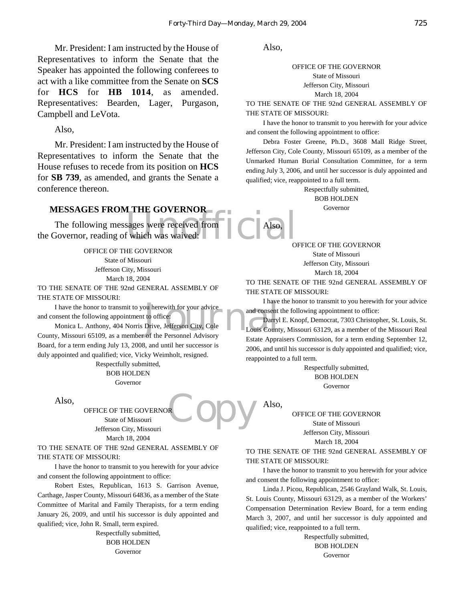Mr. President: I am instructed by the House of Representatives to inform the Senate that the Speaker has appointed the following conferees to act with a like committee from the Senate on **SCS** for **HCS** for **HB 1014**, as amended. Representatives: Bearden, Lager, Purgason, Campbell and LeVota.

Also,

Mr. President: I am instructed by the House of Representatives to inform the Senate that the House refuses to recede from its position on **HCS** for **SB 739**, as amended, and grants the Senate a conference thereon.

#### **MESSAGES FROM THE GOVERNOR**

EXPOVERING<br>
Sages were received from  $\prod_{\text{C}}$  Also, The following messages were received from the Governor, reading of which was waived:

OFFICE OF THE GOVERNOR State of Missouri Jefferson City, Missouri March 18, 2004 TO THE SENATE OF THE 92nd GENERAL ASSEMBLY OF

THE STATE OF MISSOURI:

I have the honor to transmit to you herewith for your advice<br>
I have<br>
I have the following appointment to office:<br>
Monica L. Anthony, 404 Norris Drive, Jefferson City, Cole<br>
V. Missouri 65109, as a member of the Personnel and consent the following appointment to office:

Monica L. Anthony, 404 Norris Drive, Jefferson City, Cole County, Missouri 65109, as a member of the Personnel Advisory Board, for a term ending July 13, 2008, and until her successor is duly appointed and qualified; vice, Vicky Weimholt, resigned.

> Respectfully submitted, BOB HOLDEN Governor

Also,

**Copy** OFFICE OF THE GOVERNOR State of Missouri Jefferson City, Missouri March 18, 2004

TO THE SENATE OF THE 92nd GENERAL ASSEMBLY OF THE STATE OF MISSOURI:

I have the honor to transmit to you herewith for your advice and consent the following appointment to office:

Robert Estes, Republican, 1613 S. Garrison Avenue, Carthage, Jasper County, Missouri 64836, as a member of the State Committee of Marital and Family Therapists, for a term ending January 26, 2009, and until his successor is duly appointed and qualified; vice, John R. Small, term expired.

> Respectfully submitted, BOB HOLDEN Governor

Also,

Also,

Also,

OFFICE OF THE GOVERNOR State of Missouri Jefferson City, Missouri March 18, 2004

TO THE SENATE OF THE 92nd GENERAL ASSEMBLY OF THE STATE OF MISSOURI:

I have the honor to transmit to you herewith for your advice and consent the following appointment to office:

Debra Foster Greene, Ph.D., 3608 Mall Ridge Street, Jefferson City, Cole County, Missouri 65109, as a member of the Unmarked Human Burial Consultation Committee, for a term ending July 3, 2006, and until her successor is duly appointed and qualified; vice, reappointed to a full term.

> Respectfully submitted, BOB HOLDEN Governor

OFFICE OF THE GOVERNOR State of Missouri Jefferson City, Missouri March 18, 2004

TO THE SENATE OF THE 92nd GENERAL ASSEMBLY OF THE STATE OF MISSOURI:

I have the honor to transmit to you herewith for your advice and consent the following appointment to office:

Darryl E. Knopf, Democrat, 7303 Christopher, St. Louis, St. Louis County, Missouri 63129, as a member of the Missouri Real Estate Appraisers Commission, for a term ending September 12, 2006, and until his successor is duly appointed and qualified; vice, reappointed to a full term.

> Respectfully submitted, BOB HOLDEN Governor

OFFICE OF THE GOVERNOR State of Missouri Jefferson City, Missouri March 18, 2004

TO THE SENATE OF THE 92nd GENERAL ASSEMBLY OF THE STATE OF MISSOURI:

I have the honor to transmit to you herewith for your advice and consent the following appointment to office:

Linda J. Picou, Republican, 2546 Grayland Walk, St. Louis, St. Louis County, Missouri 63129, as a member of the Workers' Compensation Determination Review Board, for a term ending March 3, 2007, and until her successor is duly appointed and qualified; vice, reappointed to a full term.

> Respectfully submitted, BOB HOLDEN Governor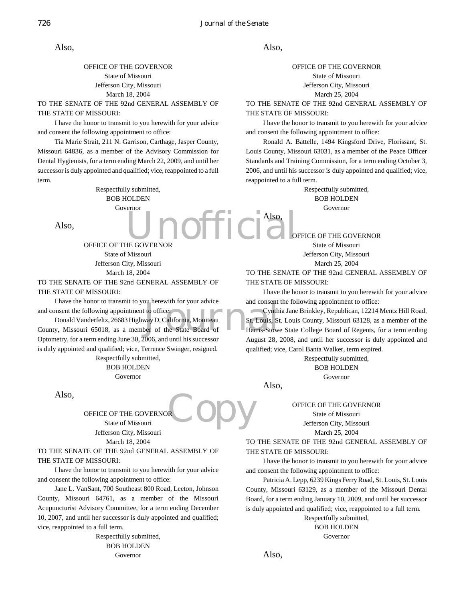Also,

#### OFFICE OF THE GOVERNOR State of Missouri Jefferson City, Missouri March 18, 2004

TO THE SENATE OF THE 92nd GENERAL ASSEMBLY OF THE STATE OF MISSOURI:

I have the honor to transmit to you herewith for your advice and consent the following appointment to office:

Tia Marie Strait, 211 N. Garrison, Carthage, Jasper County, Missouri 64836, as a member of the Advisory Commission for Dental Hygienists, for a term ending March 22, 2009, and until her successor is duly appointed and qualified; vice, reappointed to a full term.

> Unofficial. Respectfully submitted, BOB HOLDEN Governor

Also,

#### Also,

OFFICE OF THE GOVERNOR State of Missouri Jefferson City, Missouri March 25, 2004

TO THE SENATE OF THE 92nd GENERAL ASSEMBLY OF THE STATE OF MISSOURI:

I have the honor to transmit to you herewith for your advice and consent the following appointment to office:

Ronald A. Battelle, 1494 Kingsford Drive, Florissant, St. Louis County, Missouri 63031, as a member of the Peace Officer Standards and Training Commission, for a term ending October 3, 2006, and until his successor is duly appointed and qualified; vice, reappointed to a full term.

> Respectfully submitted, BOB HOLDEN Governor

OFFICE OF THE GOVERNOR

State of Missouri Jefferson City, Missouri March 25, 2004

TO THE SENATE OF THE 92nd GENERAL ASSEMBLY OF THE STATE OF MISSOURI:

I have the honor to transmit to you herewith for your advice and consent the following appointment to office:

Cynthia Jane Brinkley, Republican, 12214 Mentz Hill Road, St. Louis, St. Louis County, Missouri 63128, as a member of the Harris-Stowe State College Board of Regents, for a term ending August 28, 2008, and until her successor is duly appointed and qualified; vice, Carol Banta Walker, term expired.

Respectfully submitted,

BOB HOLDEN

Governor

Also,

Also,

OFFICE OF THE GOVERNOR State of Missouri Jefferson City, Missouri March 25, 2004

TO THE SENATE OF THE 92nd GENERAL ASSEMBLY OF THE STATE OF MISSOURI:

I have the honor to transmit to you herewith for your advice and consent the following appointment to office:

Patricia A. Lepp, 6239 Kings Ferry Road, St. Louis, St. Louis County, Missouri 63129, as a member of the Missouri Dental Board, for a term ending January 10, 2009, and until her successor is duly appointed and qualified; vice, reappointed to a full term.

> Respectfully submitted, BOB HOLDEN Governor

Also,

OFFICE OF THE GOVERNOR State of Missouri Jefferson City, Missouri March 18, 2004

TO THE SENATE OF THE 92nd GENERAL ASSEMBLY OF THE STATE OF MISSOURI:

I have the honor to transmit to you herewith for your advice and consent the following appointment to office:

bu herewith for your advice<br>to office:<br>way D, California, Moniteau<br>St, Louis, St<br>per of the State Board of<br> $\begin{array}{c} \text{St. Louis, St} \\ \text{Done's theorem} \\ \text{Simpler} \\ \text{Simpler} \\ \text{Simpler} \\ \text{Simpler} \\ \text{Simpler} \\ \text{Simpler} \\ \text{Simpler} \\ \text{Simpler} \\ \text{Simpler} \\ \text{Simpler} \\ \text{Simpler} \\$ Donald Vanderfeltz, 26683 Highway D, California, Moniteau County, Missouri 65018, as a member of the State Board of Optometry, for a term ending June 30, 2006, and until his successor is duly appointed and qualified; vice, Terrence Swinger, resigned.

> Respectfully submitted, BOB HOLDEN Governor

Also,

**Copy** OFFICE OF THE GOVERNOR State of Missouri Jefferson City, Missouri March 18, 2004

TO THE SENATE OF THE 92nd GENERAL ASSEMBLY OF THE STATE OF MISSOURI:

I have the honor to transmit to you herewith for your advice and consent the following appointment to office:

Jane L. VanSant, 700 Southeast 800 Road, Leeton, Johnson County, Missouri 64761, as a member of the Missouri Acupuncturist Advisory Committee, for a term ending December 10, 2007, and until her successor is duly appointed and qualified; vice, reappointed to a full term.

> Respectfully submitted, BOB HOLDEN Governor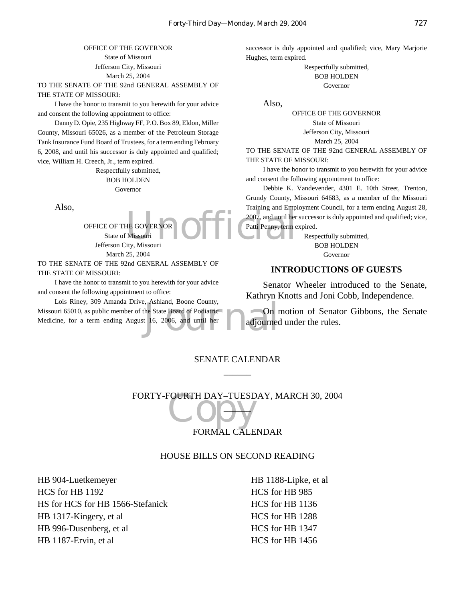#### OFFICE OF THE GOVERNOR State of Missouri Jefferson City, Missouri March 25, 2004

TO THE SENATE OF THE 92nd GENERAL ASSEMBLY OF THE STATE OF MISSOURI:

I have the honor to transmit to you herewith for your advice and consent the following appointment to office:

Danny D. Opie, 235 Highway FF, P.O. Box 89, Eldon, Miller County, Missouri 65026, as a member of the Petroleum Storage Tank Insurance Fund Board of Trustees, for a term ending February 6, 2008, and until his successor is duly appointed and qualified; vice, William H. Creech, Jr., term expired.

> Respectfully submitted, BOB HOLDEN Governor

Also,

OFFICE OF THE GOVERNOR State of Missouri Jefferson City, Missouri March 25, 2004

TO THE SENATE OF THE 92nd GENERAL ASSEMBLY OF THE STATE OF MISSOURI:

I have the honor to transmit to you herewith for your advice and consent the following appointment to office:

the State Board of Podiatric<br>t 16, 2006, and until her adjourned Lois Riney, 309 Amanda Drive, Ashland, Boone County, Missouri 65010, as public member of the State Board of Podiatric Medicine, for a term ending August 16, 2006, and until her

successor is duly appointed and qualified; vice, Mary Marjorie Hughes, term expired.

> Respectfully submitted, BOB HOLDEN Governor

Also,

OFFICE OF THE GOVERNOR State of Missouri Jefferson City, Missouri

March 25, 2004

TO THE SENATE OF THE 92nd GENERAL ASSEMBLY OF THE STATE OF MISSOURI:

I have the honor to transmit to you herewith for your advice and consent the following appointment to office:

HE GOVERNOR 2007, and until her<br>Missouri (Missouri et al., 2007, and until her<br>ity. Missouri Debbie K. Vandevender, 4301 E. 10th Street, Trenton, Grundy County, Missouri 64683, as a member of the Missouri Training and Employment Council, for a term ending August 28, 2007, and until her successor is duly appointed and qualified; vice, Patti Penny, term expired.

Respectfully submitted, BOB HOLDEN Governor

#### **INTRODUCTIONS OF GUESTS**

Senator Wheeler introduced to the Senate, Kathryn Knotts and Joni Cobb, Independence.

On motion of Senator Gibbons, the Senate adjourned under the rules.

#### SENATE CALENDAR  $\overline{\phantom{a}}$

FORTY-FOURTH DAY–TUESDAY, MARCH 30, 2004  $\overline{\mathbf{L}}$ 

#### FORMAL CALENDAR

#### HOUSE BILLS ON SECOND READING

HB 904-Luetkemeyer HCS for HB 1192 HS for HCS for HB 1566-Stefanick HB 1317-Kingery, et al HB 996-Dusenberg, et al HB 1187-Ervin, et al

HB 1188-Lipke, et al HCS for HB 985 HCS for HB 1136 HCS for HB 1288 HCS for HB 1347 HCS for HB 1456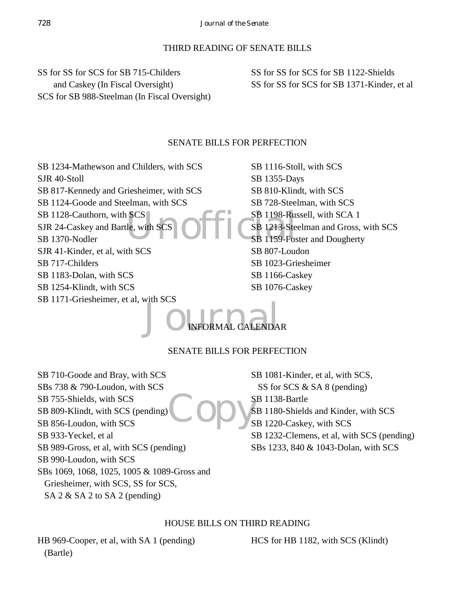#### THIRD READING OF SENATE BILLS

SS for SS for SCS for SB 715-Childers and Caskey (In Fiscal Oversight) SCS for SB 988-Steelman (In Fiscal Oversight) SS for SS for SCS for SB 1122-Shields SS for SS for SCS for SB 1371-Kinder, et al

#### SENATE BILLS FOR PERFECTION

SB 1234-Mathewson and Childers, with SCS SJR 40-Stoll

SB 817-Kennedy and Griesheimer, with SCS

SB 1124-Goode and Steelman, with SCS

SB 1128-Cauthorn, with SCS SJR 24-Caskey and Bartle, with SCS

SB 1370-Nodler

- SJR 41-Kinder, et al, with SCS
- SB 717-Childers
- SB 1183-Dolan, with SCS
- SB 1254-Klindt, with SCS
- SB 1171-Griesheimer, et al, with SCS

SCS<br>Le, with SCS OFFICSB 1213-Ste SB 1116-Stoll, with SCS SB 1355-Days SB 810-Klindt, with SCS SB 728-Steelman, with SCS SB 1198-Russell, with SCA 1 SB 1213-Steelman and Gross, with SCS SB 1159-Foster and Dougherty SB 807-Loudon SB 1023-Griesheimer SB 1166-Caskey SB 1076-Caskey

## JO INFORMAL CALENDA INFORMAL CALENDAR

#### SENATE BILLS FOR PERFECTION

Copy's SB 710-Goode and Bray, with SCS SBs 738 & 790-Loudon, with SCS SB 755-Shields, with SCS SB 809-Klindt, with SCS (pending) SB 856-Loudon, with SCS SB 933-Yeckel, et al SB 989-Gross, et al, with SCS (pending) SB 990-Loudon, with SCS SBs 1069, 1068, 1025, 1005 & 1089-Gross and Griesheimer, with SCS, SS for SCS, SA 2 & SA 2 to SA 2 (pending)

SB 1081-Kinder, et al, with SCS, SS for SCS & SA 8 (pending) SB 1138-Bartle SB 1180-Shields and Kinder, with SCS SB 1220-Caskey, with SCS SB 1232-Clemens, et al, with SCS (pending) SBs 1233, 840 & 1043-Dolan, with SCS

#### HOUSE BILLS ON THIRD READING

HB 969-Cooper, et al, with SA 1 (pending) (Bartle)

HCS for HB 1182, with SCS (Klindt)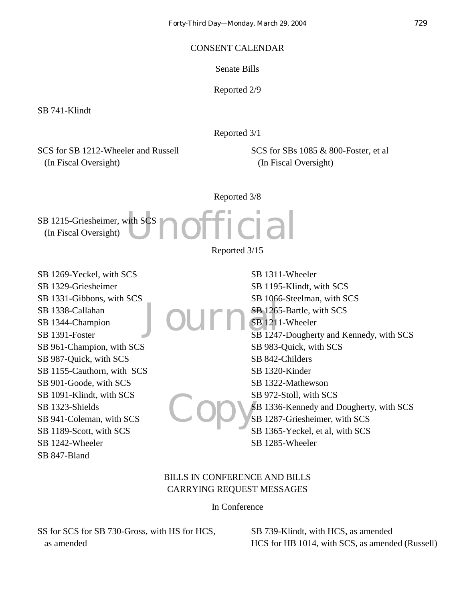#### CONSENT CALENDAR

Senate Bills

Reported 2/9

SB 741-Klindt

Reported 3/1

SCS for SB 1212-Wheeler and Russell (In Fiscal Oversight)

SCS for SBs 1085 & 800-Foster, et al (In Fiscal Oversight)

Reported 3/8

**Unofficial** SB 1215-Griesheimer, with SCS (In Fiscal Oversight)

Reported 3/15

SB 1269-Yeckel, with SCS SB 1329-Griesheimer SB 1331-Gibbons, with SCS SB 1338-Callahan SB 1344-Champion SB 1391-Foster SB 961-Champion, with SCS SB 987-Quick, with SCS SB 1155-Cauthorn, with SCS SB 901-Goode, with SCS SB 1091-Klindt, with SCS SB 1323-Shields SB 941-Coleman, with SCS SB 1189-Scott, with SCS SB 1242-Wheeler SB 847-Bland

Journ<sup>SB 1265</sup> Copy's SB 1311-Wheeler SB 1195-Klindt, with SCS SB 1066-Steelman, with SCS SB 1265-Bartle, with SCS SB 1211-Wheeler SB 1247-Dougherty and Kennedy, with SCS SB 983-Quick, with SCS SB 842-Childers SB 1320-Kinder SB 1322-Mathewson SB 972-Stoll, with SCS SB 1336-Kennedy and Dougherty, with SCS SB 1287-Griesheimer, with SCS SB 1365-Yeckel, et al, with SCS SB 1285-Wheeler

#### BILLS IN CONFERENCE AND BILLS CARRYING REQUEST MESSAGES

In Conference

SS for SCS for SB 730-Gross, with HS for HCS, as amended

SB 739-Klindt, with HCS, as amended HCS for HB 1014, with SCS, as amended (Russell)